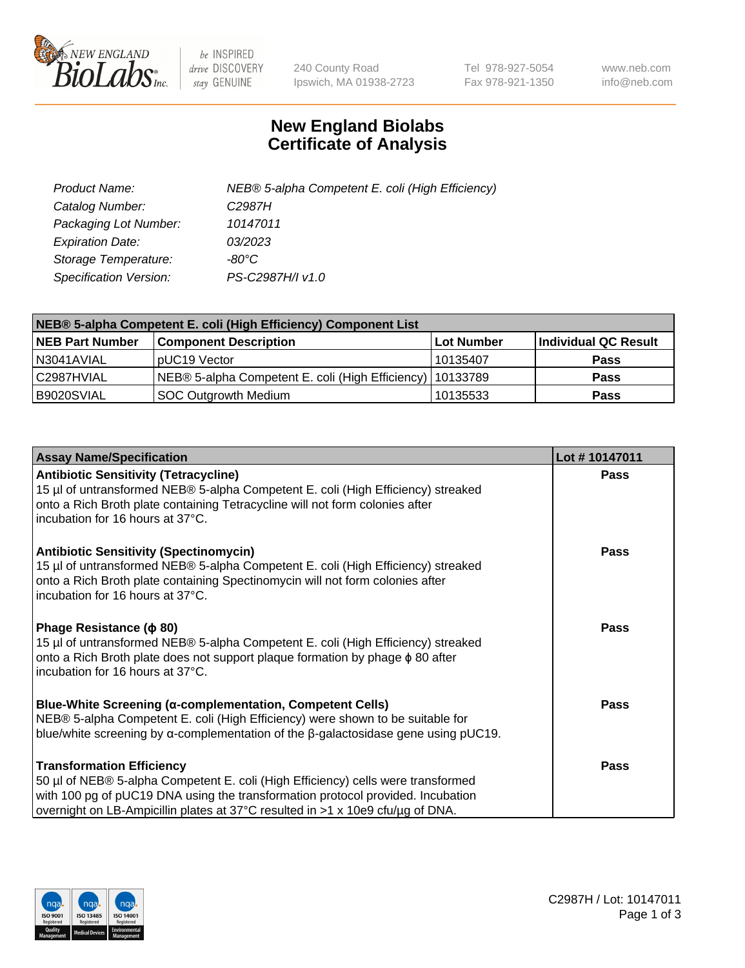

 $be$  INSPIRED drive DISCOVERY stay GENUINE

240 County Road Ipswich, MA 01938-2723 Tel 978-927-5054 Fax 978-921-1350 www.neb.com info@neb.com

## **New England Biolabs Certificate of Analysis**

| Product Name:           | NEB® 5-alpha Competent E. coli (High Efficiency) |
|-------------------------|--------------------------------------------------|
| Catalog Number:         | C2987H                                           |
| Packaging Lot Number:   | 10147011                                         |
| <b>Expiration Date:</b> | 03/2023                                          |
| Storage Temperature:    | -80°C                                            |
| Specification Version:  | PS-C2987H/I v1.0                                 |

| NEB® 5-alpha Competent E. coli (High Efficiency) Component List |                                                             |            |                      |  |
|-----------------------------------------------------------------|-------------------------------------------------------------|------------|----------------------|--|
| <b>NEB Part Number</b>                                          | <b>Component Description</b>                                | Lot Number | Individual QC Result |  |
| N3041AVIAL                                                      | pUC19 Vector                                                | 10135407   | Pass                 |  |
| C2987HVIAL                                                      | NEB® 5-alpha Competent E. coli (High Efficiency)   10133789 |            | <b>Pass</b>          |  |
| B9020SVIAL                                                      | <b>SOC Outgrowth Medium</b>                                 | 10135533   | <b>Pass</b>          |  |

| <b>Assay Name/Specification</b>                                                                                                                                                                                                                                                           | Lot #10147011 |
|-------------------------------------------------------------------------------------------------------------------------------------------------------------------------------------------------------------------------------------------------------------------------------------------|---------------|
| <b>Antibiotic Sensitivity (Tetracycline)</b><br>15 µl of untransformed NEB® 5-alpha Competent E. coli (High Efficiency) streaked<br>onto a Rich Broth plate containing Tetracycline will not form colonies after<br>incubation for 16 hours at 37°C.                                      | Pass          |
| <b>Antibiotic Sensitivity (Spectinomycin)</b><br>15 µl of untransformed NEB® 5-alpha Competent E. coli (High Efficiency) streaked<br>onto a Rich Broth plate containing Spectinomycin will not form colonies after<br>Incubation for 16 hours at 37°C.                                    | <b>Pass</b>   |
| Phage Resistance ( $\phi$ 80)<br>15 µl of untransformed NEB® 5-alpha Competent E. coli (High Efficiency) streaked<br>onto a Rich Broth plate does not support plaque formation by phage $\phi$ 80 after<br>incubation for 16 hours at 37°C.                                               | <b>Pass</b>   |
| <b>Blue-White Screening (α-complementation, Competent Cells)</b><br>NEB® 5-alpha Competent E. coli (High Efficiency) were shown to be suitable for<br>blue/white screening by $\alpha$ -complementation of the $\beta$ -galactosidase gene using pUC19.                                   | <b>Pass</b>   |
| <b>Transformation Efficiency</b><br>50 µl of NEB® 5-alpha Competent E. coli (High Efficiency) cells were transformed<br>with 100 pg of pUC19 DNA using the transformation protocol provided. Incubation<br>overnight on LB-Ampicillin plates at 37°C resulted in >1 x 10e9 cfu/μg of DNA. | <b>Pass</b>   |

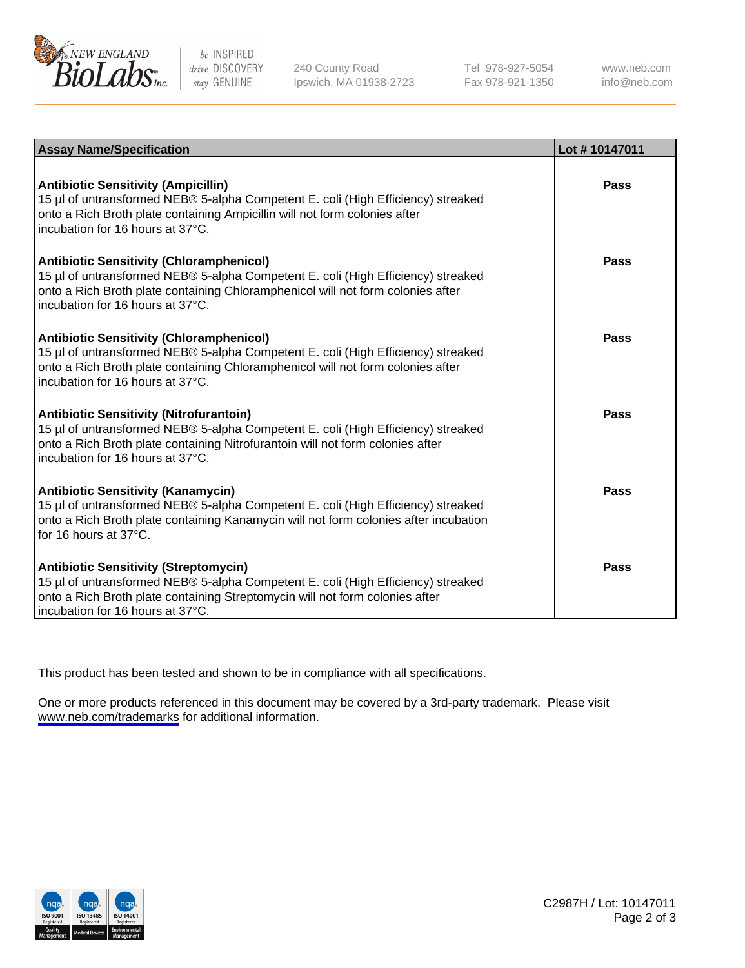

be INSPIRED drive DISCOVERY stay GENUINE

240 County Road Ipswich, MA 01938-2723 Tel 978-927-5054 Fax 978-921-1350

www.neb.com info@neb.com

| <b>Assay Name/Specification</b>                                                                                                                                                                                                                            | Lot #10147011 |
|------------------------------------------------------------------------------------------------------------------------------------------------------------------------------------------------------------------------------------------------------------|---------------|
| <b>Antibiotic Sensitivity (Ampicillin)</b><br>15 µl of untransformed NEB® 5-alpha Competent E. coli (High Efficiency) streaked<br>onto a Rich Broth plate containing Ampicillin will not form colonies after<br>incubation for 16 hours at 37°C.           | Pass          |
| <b>Antibiotic Sensitivity (Chloramphenicol)</b><br>15 µl of untransformed NEB® 5-alpha Competent E. coli (High Efficiency) streaked<br>onto a Rich Broth plate containing Chloramphenicol will not form colonies after<br>incubation for 16 hours at 37°C. | Pass          |
| <b>Antibiotic Sensitivity (Chloramphenicol)</b><br>15 µl of untransformed NEB® 5-alpha Competent E. coli (High Efficiency) streaked<br>onto a Rich Broth plate containing Chloramphenicol will not form colonies after<br>incubation for 16 hours at 37°C. | Pass          |
| <b>Antibiotic Sensitivity (Nitrofurantoin)</b><br>15 µl of untransformed NEB® 5-alpha Competent E. coli (High Efficiency) streaked<br>onto a Rich Broth plate containing Nitrofurantoin will not form colonies after<br>incubation for 16 hours at 37°C.   | Pass          |
| <b>Antibiotic Sensitivity (Kanamycin)</b><br>15 µl of untransformed NEB® 5-alpha Competent E. coli (High Efficiency) streaked<br>onto a Rich Broth plate containing Kanamycin will not form colonies after incubation<br>for 16 hours at $37^{\circ}$ C.   | Pass          |
| <b>Antibiotic Sensitivity (Streptomycin)</b><br>15 µl of untransformed NEB® 5-alpha Competent E. coli (High Efficiency) streaked<br>onto a Rich Broth plate containing Streptomycin will not form colonies after<br>incubation for 16 hours at 37°C.       | Pass          |

This product has been tested and shown to be in compliance with all specifications.

One or more products referenced in this document may be covered by a 3rd-party trademark. Please visit <www.neb.com/trademarks>for additional information.